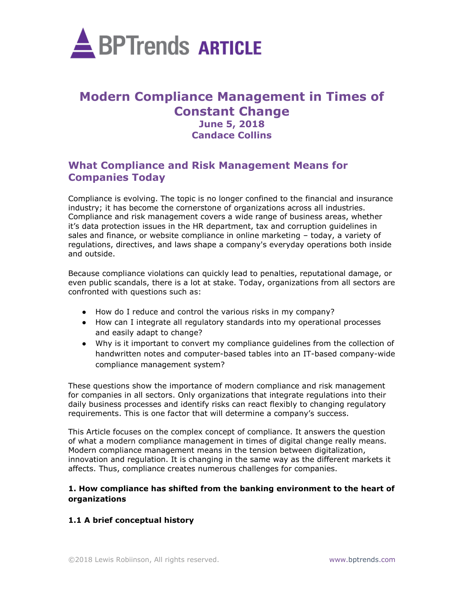

# **Modern Compliance Management in Times of Constant Change June 5, 2018 Candace Collins**

## **What Compliance and Risk Management Means for Companies Today**

Compliance is evolving. The topic is no longer confined to the financial and insurance industry; it has become the cornerstone of organizations across all industries. Compliance and risk management covers a wide range of business areas, whether it's data protection issues in the HR department, tax and corruption guidelines in sales and finance, or website compliance in online marketing – today, a variety of regulations, directives, and laws shape a company's everyday operations both inside and outside.

Because compliance violations can quickly lead to penalties, reputational damage, or even public scandals, there is a lot at stake. Today, organizations from all sectors are confronted with questions such as:

- How do I reduce and control the various risks in my company?
- How can I integrate all regulatory standards into my operational processes and easily adapt to change?
- Why is it important to convert my compliance guidelines from the collection of handwritten notes and computer-based tables into an IT-based company-wide compliance management system?

These questions show the importance of modern compliance and risk management for companies in all sectors. Only organizations that integrate regulations into their daily business processes and identify risks can react flexibly to changing regulatory requirements. This is one factor that will determine a company's success.

This Article focuses on the complex concept of compliance. It answers the question of what a modern compliance management in times of digital change really means. Modern compliance management means in the tension between digitalization, innovation and regulation. It is changing in the same way as the different markets it affects. Thus, compliance creates numerous challenges for companies.

#### **1. How compliance has shifted from the banking environment to the heart of organizations**

### **1.1 A brief conceptual history**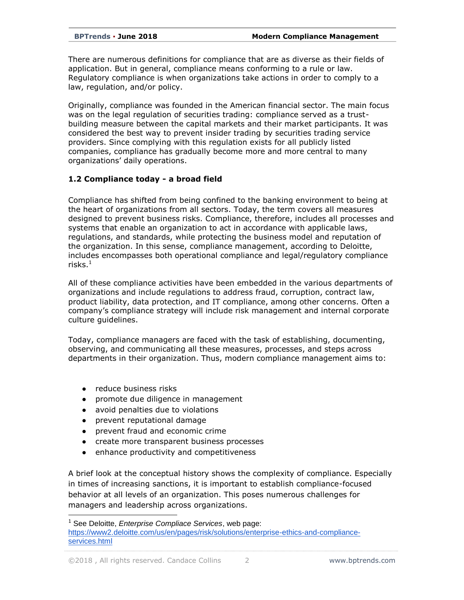There are numerous definitions for compliance that are as diverse as their fields of application. But in general, compliance means conforming to a rule or law. Regulatory compliance is when organizations take actions in order to comply to a law, regulation, and/or policy.

Originally, compliance was founded in the American financial sector. The main focus was on the legal regulation of securities trading: compliance served as a trustbuilding measure between the capital markets and their market participants. It was considered the best way to prevent insider trading by securities trading service providers. Since complying with this regulation exists for all publicly listed companies, compliance has gradually become more and more central to many organizations' daily operations.

#### **1.2 Compliance today - a broad field**

Compliance has shifted from being confined to the banking environment to being at the heart of organizations from all sectors. Today, the term covers all measures designed to prevent business risks. Compliance, therefore, includes all processes and systems that enable an organization to act in accordance with applicable laws, regulations, and standards, while protecting the business model and reputation of the organization. In this sense, compliance management, according to Deloitte, includes encompasses both operational compliance and legal/regulatory compliance risks. $^1$ 

All of these compliance activities have been embedded in the various departments of organizations and include regulations to address fraud, corruption, contract law, product liability, data protection, and IT compliance, among other concerns. Often a company's compliance strategy will include risk management and internal corporate culture guidelines.

Today, compliance managers are faced with the task of establishing, documenting, observing, and communicating all these measures, processes, and steps across departments in their organization. Thus, modern compliance management aims to:

• reduce business risks

- promote due diligence in management
- avoid penalties due to violations
- prevent reputational damage
- prevent fraud and economic crime
- create more transparent business processes
- enhance productivity and competitiveness

A brief look at the conceptual history shows the complexity of compliance. Especially in times of increasing sanctions, it is important to establish compliance-focused behavior at all levels of an organization. This poses numerous challenges for managers and leadership across organizations.

<sup>1</sup> See Deloitte, *Enterprise Compliace Services*, web page: [https://www2.deloitte.com/us/en/pages/risk/solutions/enterprise-ethics-and-compliance](https://www2.deloitte.com/us/en/pages/risk/solutions/enterprise-ethics-and-compliance-services.html)[services.html](https://www2.deloitte.com/us/en/pages/risk/solutions/enterprise-ethics-and-compliance-services.html)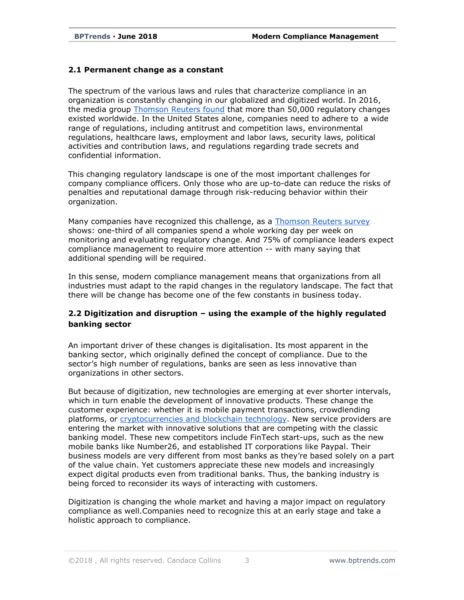#### **2.1 Permanent change as a constant**

The spectrum of the various laws and rules that characterize compliance in an organization is constantly changing in our globalized and digitized world. In 2016, the media group [Thomson Reuters found](https://risk.thomsonreuters.com/content/dam/openweb/documents/pdf/risk/infographic/top-5-compliance-trends-around-globe-2016-infographic.pdf) that more than 50,000 regulatory changes existed worldwide. In the United States alone, companies need to adhere to a wide range of regulations, including antitrust and competition laws, environmental regulations, healthcare laws, employment and labor laws, security laws, political activities and contribution laws, and regulations regarding trade secrets and confidential information.

This changing regulatory landscape is one of the most important challenges for company compliance officers. Only those who are up-to-date can reduce the risks of penalties and reputational damage through risk-reducing behavior within their organization.

Many companies have recognized this challenge, as a [Thomson Reuters survey](https://risk.thomsonreuters.com/content/dam/openweb/documents/pdf/risk/infographic/top-5-compliance-trends-around-globe-2016-infographic.pdf) shows: one-third of all companies spend a whole working day per week on monitoring and evaluating regulatory change. And 75% of compliance leaders expect compliance management to require more attention -- with many saying that additional spending will be required.

In this sense, modern compliance management means that organizations from all industries must adapt to the rapid changes in the regulatory landscape. The fact that there will be change has become one of the few constants in business today.

### **2.2 Digitization and disruption – using the example of the highly regulated banking sector**

An important driver of these changes is digitalisation. Its most apparent in the banking sector, which originally defined the concept of compliance. Due to the sector's high number of regulations, banks are seen as less innovative than organizations in other sectors.

But because of digitization, new technologies are emerging at ever shorter intervals, which in turn enable the development of innovative products. These change the customer experience: whether it is mobile payment transactions, crowdlending platforms, or [cryptocurrencies and blockchain technology.](https://hbr.org/2017/03/the-blockchain-will-do-to-banks-and-law-firms-what-the-internet-did-to-media) New service providers are entering the market with innovative solutions that are competing with the classic banking model. These new competitors include FinTech start-ups, such as the new mobile banks like Number26, and established IT corporations like Paypal. Their business models are very different from most banks as they're based solely on a part of the value chain. Yet customers appreciate these new models and increasingly expect digital products even from traditional banks. Thus, the banking industry is being forced to reconsider its ways of interacting with customers.

Digitization is changing the whole market and having a major impact on regulatory compliance as well.Companies need to recognize this at an early stage and take a holistic approach to compliance.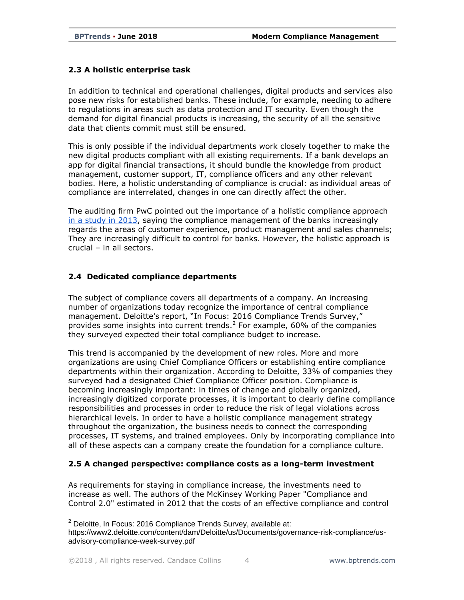### **2.3 A holistic enterprise task**

In addition to technical and operational challenges, digital products and services also pose new risks for established banks. These include, for example, needing to adhere to regulations in areas such as data protection and IT security. Even though the demand for digital financial products is increasing, the security of all the sensitive data that clients commit must still be ensured.

This is only possible if the individual departments work closely together to make the new digital products compliant with all existing requirements. If a bank develops an app for digital financial transactions, it should bundle the knowledge from product management, customer support, IT, compliance officers and any other relevant bodies. Here, a holistic understanding of compliance is crucial: as individual areas of compliance are interrelated, changes in one can directly affect the other.

The auditing firm PwC pointed out the importance of a holistic compliance approach [in a study in 2013,](https://www.pwc.com/us/en/financial-services/publications/viewpoints/compliance-operational-risk-management.html) saying the compliance management of the banks increasingly regards the areas of customer experience, product management and sales channels; They are increasingly difficult to control for banks. However, the holistic approach is crucial – in all sectors.

### **2.4 Dedicated compliance departments**

The subject of compliance covers all departments of a company. An increasing number of organizations today recognize the importance of central compliance management. Deloitte's report, "In Focus: 2016 Compliance Trends Survey," provides some insights into current trends.<sup>2</sup> For example, 60% of the companies they surveyed expected their total compliance budget to increase.

This trend is accompanied by the development of new roles. More and more organizations are using Chief Compliance Officers or establishing entire compliance departments within their organization. According to Deloitte, 33% of companies they surveyed had a designated Chief Compliance Officer position. Compliance is becoming increasingly important: in times of change and globally organized, increasingly digitized corporate processes, it is important to clearly define compliance responsibilities and processes in order to reduce the risk of legal violations across hierarchical levels. In order to have a holistic compliance management strategy throughout the organization, the business needs to connect the corresponding processes, IT systems, and trained employees. Only by incorporating compliance into all of these aspects can a company create the foundation for a compliance culture.

### **2.5 A changed perspective: compliance costs as a long-term investment**

As requirements for staying in compliance increase, the investments need to increase as well. The authors of the McKinsey Working Paper "Compliance and Control 2.0" estimated in 2012 that the costs of an effective compliance and control

<sup>2</sup> Deloitte, In Focus: 2016 Compliance Trends Survey, available at: https://www2.deloitte.com/content/dam/Deloitte/us/Documents/governance-risk-compliance/usadvisory-compliance-week-survey.pdf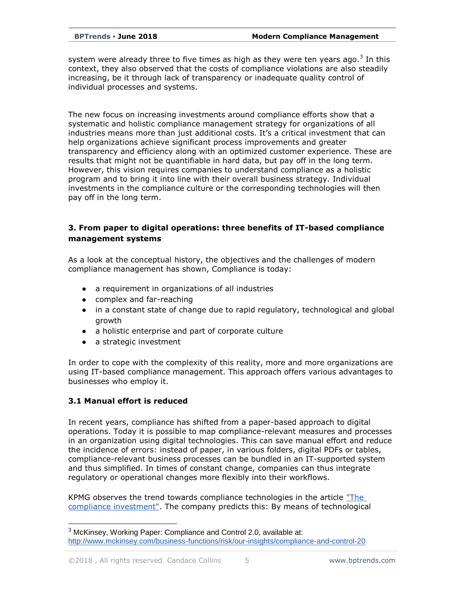system were already three to five times as high as they were ten years ago.<sup>3</sup> In this context, they also observed that the costs of compliance violations are also steadily increasing, be it through lack of transparency or inadequate quality control of individual processes and systems.

The new focus on increasing investments around compliance efforts show that a systematic and holistic compliance management strategy for organizations of all industries means more than just additional costs. It's a critical investment that can help organizations achieve significant process improvements and greater transparency and efficiency along with an optimized customer experience. These are results that might not be quantifiable in hard data, but pay off in the long term. However, this vision requires companies to understand compliance as a holistic program and to bring it into line with their overall business strategy. Individual investments in the compliance culture or the corresponding technologies will then pay off in the long term.

### **3. From paper to digital operations: three benefits of IT-based compliance management systems**

As a look at the conceptual history, the objectives and the challenges of modern compliance management has shown, Compliance is today:

- a requirement in organizations of all industries
- complex and far-reaching
- in a constant state of change due to rapid regulatory, technological and global growth
- a holistic enterprise and part of corporate culture
- a strategic investment

In order to cope with the complexity of this reality, more and more organizations are using IT-based compliance management. This approach offers various advantages to businesses who employ it.

### **3.1 Manual effort is reduced**

In recent years, compliance has shifted from a paper-based approach to digital operations. Today it is possible to map compliance-relevant measures and processes in an organization using digital technologies. This can save manual effort and reduce the incidence of errors: instead of paper, in various folders, digital PDFs or tables, compliance-relevant business processes can be bundled in an IT-supported system and thus simplified. In times of constant change, companies can thus integrate regulatory or operational changes more flexibly into their workflows.

KPMG observes the trend towards compliance technologies in the article ["The](https://assets.kpmg.com/content/dam/kpmg/xx/pdf/2016/11/the-compliance-investment.pdf)  [compliance investment".](https://assets.kpmg.com/content/dam/kpmg/xx/pdf/2016/11/the-compliance-investment.pdf) The company predicts this: By means of technological

<sup>3</sup> McKinsey, Working Paper: Compliance and Control 2.0, available at: <http://www.mckinsey.com/business-functions/risk/our-insights/compliance-and-control-20>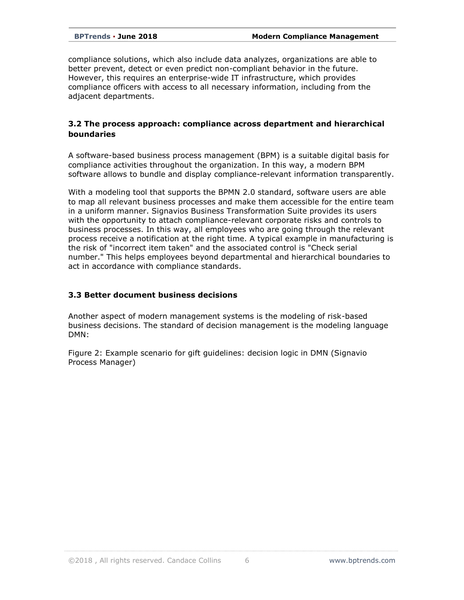compliance solutions, which also include data analyzes, organizations are able to better prevent, detect or even predict non-compliant behavior in the future. However, this requires an enterprise-wide IT infrastructure, which provides compliance officers with access to all necessary information, including from the adjacent departments.

#### **3.2 The process approach: compliance across department and hierarchical boundaries**

A software-based business process management (BPM) is a suitable digital basis for compliance activities throughout the organization. In this way, a modern BPM software allows to bundle and display compliance-relevant information transparently.

With a modeling tool that supports the BPMN 2.0 standard, software users are able to map all relevant business processes and make them accessible for the entire team in a uniform manner. Signavios Business Transformation Suite provides its users with the opportunity to attach compliance-relevant corporate risks and controls to business processes. In this way, all employees who are going through the relevant process receive a notification at the right time. A typical example in manufacturing is the risk of "incorrect item taken" and the associated control is "Check serial number." This helps employees beyond departmental and hierarchical boundaries to act in accordance with compliance standards.

#### **3.3 Better document business decisions**

Another aspect of modern management systems is the modeling of risk-based business decisions. The standard of decision management is the modeling language DMN:

Figure 2: Example scenario for gift guidelines: decision logic in DMN (Signavio Process Manager)